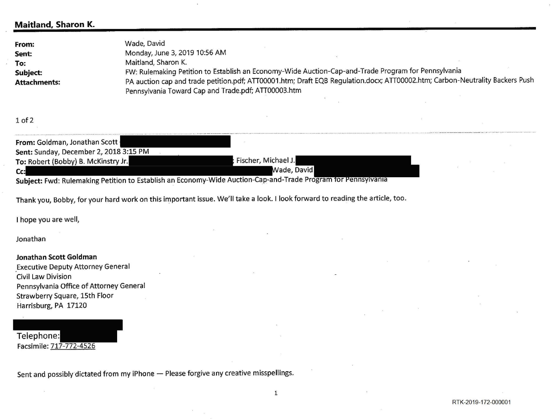# **Maitland, Sharon K.**

| From: Goldman, Jonathan Scott          |                                                                                                               |  |
|----------------------------------------|---------------------------------------------------------------------------------------------------------------|--|
| Sent: Sunday, December 2, 2018 3:15 PM |                                                                                                               |  |
| To: Robert (Bobby) B. McKinstry Jr.    | Fischer, Michael J.                                                                                           |  |
| Cc:                                    | Wade, David                                                                                                   |  |
|                                        | Subject: Fwd: Rulemaking Petition to Establish an Economy-Wide Auction-Cap-and-Trade Program for Pennsylvania |  |

Thank you, Bobby, for your hard work on this important issue. We'll take a look. I look forward to reading the article, too.

| Wade, David                                                                                                                              |  |
|------------------------------------------------------------------------------------------------------------------------------------------|--|
| Monday, June 3, 2019 10:56 AM                                                                                                            |  |
| Maitland, Sharon K.                                                                                                                      |  |
| FW: Rulemaking Petition to Establish an Economy-Wide Auction-Cap-and-Trade Pro                                                           |  |
| PA auction cap and trade petition.pdf; ATT00001.htm; Draft EQB Regulation.docx; A<br>Pennsylvania Toward Cap and Trade.pdf; ATT00003.htm |  |
|                                                                                                                                          |  |

## 1 of 2

I hope you are well,

Jonathan

### **Jonathan Scott Goldman**

\_Executive Deputy Attorney General Civil Law Division Pennsylvania Office of Attorney General Strawberry Square, 15th Floor Harrisburg, PA 17120

Telephone: Facsimile: 717-772-4526

Sent and possibly dictated from my iPhone - Please forgive any creative misspellings.

# $\log$ ram for Pennsylvania **ATT00002.htm; Carbon-Neutrality Backers Push**

RTK-2019-172-00000 1